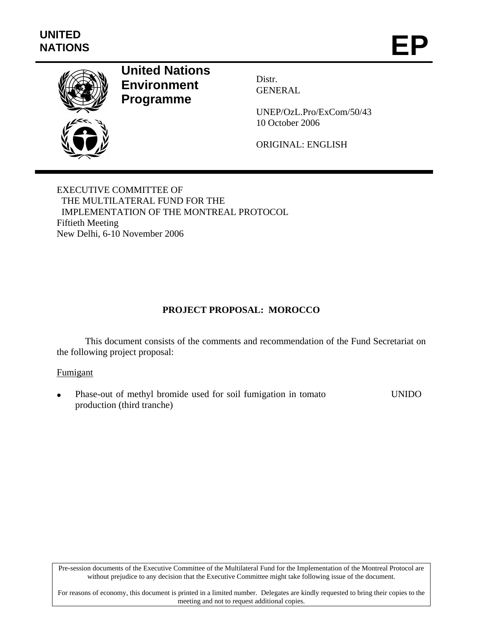

# **United Nations Environment Programme**

Distr. GENERAL

UNEP/OzL.Pro/ExCom/50/43 10 October 2006

ORIGINAL: ENGLISH

EXECUTIVE COMMITTEE OF THE MULTILATERAL FUND FOR THE IMPLEMENTATION OF THE MONTREAL PROTOCOL Fiftieth Meeting New Delhi, 6-10 November 2006

# **PROJECT PROPOSAL: MOROCCO**

This document consists of the comments and recommendation of the Fund Secretariat on the following project proposal:

# Fumigant

• Phase-out of methyl bromide used for soil fumigation in tomato production (third tranche) UNIDO

Pre-session documents of the Executive Committee of the Multilateral Fund for the Implementation of the Montreal Protocol are without prejudice to any decision that the Executive Committee might take following issue of the document.

For reasons of economy, this document is printed in a limited number. Delegates are kindly requested to bring their copies to the meeting and not to request additional copies.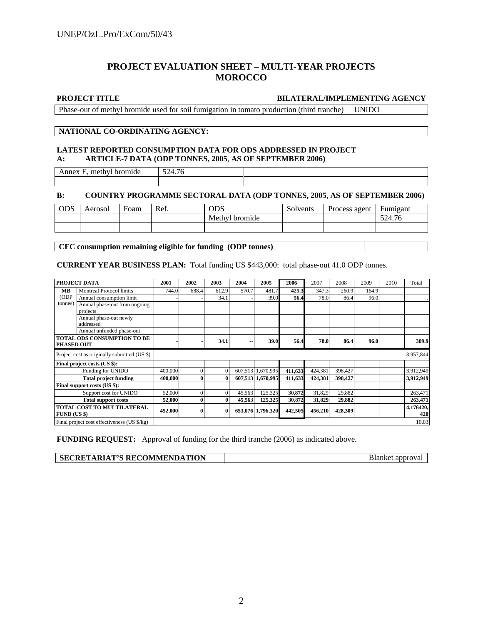# **PROJECT EVALUATION SHEET – MULTI-YEAR PROJECTS MOROCCO**

#### **PROJECT TITLE BILATERAL/IMPLEMENTING AGENCY**

**Blanket approval** 

Phase-out of methyl bromide used for soil fumigation in tomato production (third tranche) UNIDO

### **NATIONAL CO-ORDINATING AGENCY:**

#### **LATEST REPORTED CONSUMPTION DATA FOR ODS ADDRESSED IN PROJECT A: ARTICLE-7 DATA (ODP TONNES, 2005**, **AS OF SEPTEMBER 2006)**

Annex E, methyl bromide 524.76

### **B: COUNTRY PROGRAMME SECTORAL DATA (ODP TONNES, 2005**, **AS OF SEPTEMBER 2006)**

| <b>ODS</b> | Aerosol | Foam | Ref. | <b>ODS</b>     | Solvents | Process agent | Fumigant |  |
|------------|---------|------|------|----------------|----------|---------------|----------|--|
|            |         |      |      | Methyl bromide |          |               | 524.76   |  |
|            |         |      |      |                |          |               |          |  |

**CFC consumption remaining eligible for funding (ODP tonnes)** 

### **CURRENT YEAR BUSINESS PLAN:** Total funding US \$443,000: total phase-out 41.0 ODP tonnes.

| PROJECT DATA                                 |                                             | 2001    | 2002     | 2003         | 2004   | 2005              | 2006    | 2007    | 2008    | 2009  | 2010 | Total            |
|----------------------------------------------|---------------------------------------------|---------|----------|--------------|--------|-------------------|---------|---------|---------|-------|------|------------------|
| MВ                                           | <b>Montreal Protocol limits</b>             | 744.0   | 688.4    | 612.9        | 570.7  | 481.7             | 425.3   | 347.3   | 260.9   | 164.9 |      |                  |
| (ODP)                                        | Annual consumption limit                    |         |          | 34.1         |        | 39.0              | 56.4    | 78.0    | 86.4    | 96.0  |      |                  |
| tonnes)                                      | Annual phase-out from ongoing               |         |          |              |        |                   |         |         |         |       |      |                  |
|                                              | projects                                    |         |          |              |        |                   |         |         |         |       |      |                  |
|                                              | Annual phase-out newly                      |         |          |              |        |                   |         |         |         |       |      |                  |
|                                              | addressed                                   |         |          |              |        |                   |         |         |         |       |      |                  |
|                                              | Annual unfunded phase-out                   |         |          |              |        |                   |         |         |         |       |      |                  |
| <b>TOTAL ODS CONSUMPTION TO BE</b>           |                                             |         |          |              |        |                   |         |         |         |       |      |                  |
| <b>PHASED OUT</b>                            |                                             |         |          | 34.1         |        | 39.0              | 56.4    | 78.0    | 86.4    | 96.0  |      | 389.9            |
| Project cost as originally submitted (US \$) |                                             |         |          |              |        |                   |         |         |         |       |      | 3,957,844        |
| Final project costs (US \$):                 |                                             |         |          |              |        |                   |         |         |         |       |      |                  |
| Funding for UNIDO                            |                                             | 400,000 | $\Omega$ | $\mathbf{0}$ |        | 607,513 1,670,995 | 411,633 | 424,381 | 398,427 |       |      | 3,912,949        |
| <b>Total project funding</b>                 |                                             | 400,000 |          | 0            |        | 607,513 1,670,995 | 411,633 | 424,381 | 398,427 |       |      | 3,912,949        |
| Final support costs (US \$):                 |                                             |         |          |              |        |                   |         |         |         |       |      |                  |
| Support cost for UNIDO                       |                                             | 52,000  | $\Omega$ | $\Omega$     | 45,563 | 125,325           | 30,872  | 31,829  | 29,882  |       |      | 263,471          |
| <b>Total support costs</b>                   |                                             | 52,000  | $\bf{0}$ | $\bf{0}$     | 45,563 | 125,325           | 30,872  | 31,829  | 29,882  |       |      | 263,471          |
| TOTAL COST TO MULTILATERAL<br>$FUND$ (US \$) |                                             | 452,000 |          | $\bf{0}$     |        | 653,076 1,796,320 | 442,505 | 456,210 | 428,309 |       |      | 4,176420,<br>420 |
|                                              | Final project cost effectiveness (US \$/kg) |         |          |              |        |                   |         |         |         |       |      | 10.03            |

**FUNDING REQUEST:** Approval of funding for the third tranche (2006) as indicated above.

| <b>SECRETARIAT'S RECOMMENDATION</b> |  |
|-------------------------------------|--|
|-------------------------------------|--|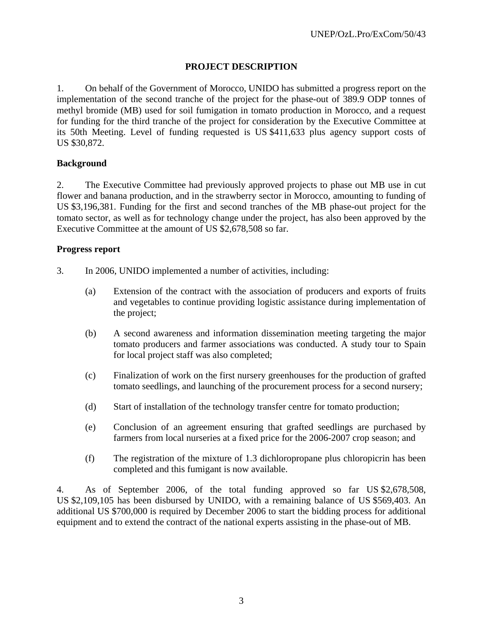# **PROJECT DESCRIPTION**

1. On behalf of the Government of Morocco, UNIDO has submitted a progress report on the implementation of the second tranche of the project for the phase-out of 389.9 ODP tonnes of methyl bromide (MB) used for soil fumigation in tomato production in Morocco, and a request for funding for the third tranche of the project for consideration by the Executive Committee at its 50th Meeting. Level of funding requested is US \$411,633 plus agency support costs of US \$30,872.

# **Background**

2. The Executive Committee had previously approved projects to phase out MB use in cut flower and banana production, and in the strawberry sector in Morocco, amounting to funding of US \$3,196,381. Funding for the first and second tranches of the MB phase-out project for the tomato sector, as well as for technology change under the project, has also been approved by the Executive Committee at the amount of US \$2,678,508 so far.

# **Progress report**

- 3. In 2006, UNIDO implemented a number of activities, including:
	- (a) Extension of the contract with the association of producers and exports of fruits and vegetables to continue providing logistic assistance during implementation of the project;
	- (b) A second awareness and information dissemination meeting targeting the major tomato producers and farmer associations was conducted. A study tour to Spain for local project staff was also completed;
	- (c) Finalization of work on the first nursery greenhouses for the production of grafted tomato seedlings, and launching of the procurement process for a second nursery;
	- (d) Start of installation of the technology transfer centre for tomato production;
	- (e) Conclusion of an agreement ensuring that grafted seedlings are purchased by farmers from local nurseries at a fixed price for the 2006-2007 crop season; and
	- (f) The registration of the mixture of 1.3 dichloropropane plus chloropicrin has been completed and this fumigant is now available.

4. As of September 2006, of the total funding approved so far US \$2,678,508, US \$2,109,105 has been disbursed by UNIDO, with a remaining balance of US \$569,403. An additional US \$700,000 is required by December 2006 to start the bidding process for additional equipment and to extend the contract of the national experts assisting in the phase-out of MB.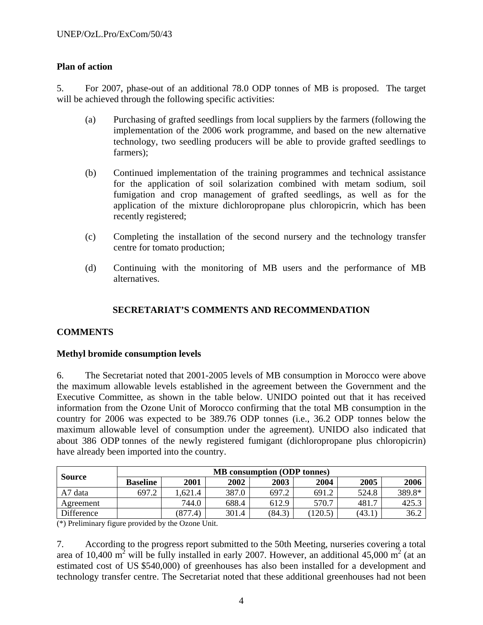# **Plan of action**

5. For 2007, phase-out of an additional 78.0 ODP tonnes of MB is proposed. The target will be achieved through the following specific activities:

- (a) Purchasing of grafted seedlings from local suppliers by the farmers (following the implementation of the 2006 work programme, and based on the new alternative technology, two seedling producers will be able to provide grafted seedlings to farmers);
- (b) Continued implementation of the training programmes and technical assistance for the application of soil solarization combined with metam sodium, soil fumigation and crop management of grafted seedlings, as well as for the application of the mixture dichloropropane plus chloropicrin, which has been recently registered;
- (c) Completing the installation of the second nursery and the technology transfer centre for tomato production;
- (d) Continuing with the monitoring of MB users and the performance of MB alternatives.

# **SECRETARIAT'S COMMENTS AND RECOMMENDATION**

# **COMMENTS**

# **Methyl bromide consumption levels**

6. The Secretariat noted that 2001-2005 levels of MB consumption in Morocco were above the maximum allowable levels established in the agreement between the Government and the Executive Committee, as shown in the table below. UNIDO pointed out that it has received information from the Ozone Unit of Morocco confirming that the total MB consumption in the country for 2006 was expected to be 389.76 ODP tonnes (i.e., 36.2 ODP tonnes below the maximum allowable level of consumption under the agreement). UNIDO also indicated that about 386 ODP tonnes of the newly registered fumigant (dichloropropane plus chloropicrin) have already been imported into the country.

| <b>Source</b> | <b>MB</b> consumption (ODP tonnes) |         |       |        |         |        |        |  |  |  |
|---------------|------------------------------------|---------|-------|--------|---------|--------|--------|--|--|--|
|               | <b>Baseline</b>                    | 2001    | 2002  | 2003   | 2004    | 2005   | 2006   |  |  |  |
| A7 data       | 697.2                              | .621.4  | 387.0 | 697.2  | 691.2   | 524.8  | 389.8* |  |  |  |
| Agreement     |                                    | 744.0   | 688.4 | 612.9  | 570.7   | 481.7  | 425.3  |  |  |  |
| Difference    |                                    | (877.4) | 301.4 | (84.3) | (120.5) | (43.1) | 36.2   |  |  |  |

(\*) Preliminary figure provided by the Ozone Unit.

7. According to the progress report submitted to the 50th Meeting, nurseries covering a total area of 10,400 m<sup>2</sup> will be fully installed in early 2007. However, an additional 45,000 m<sup>2</sup> (at an estimated cost of US \$540,000) of greenhouses has also been installed for a development and technology transfer centre. The Secretariat noted that these additional greenhouses had not been